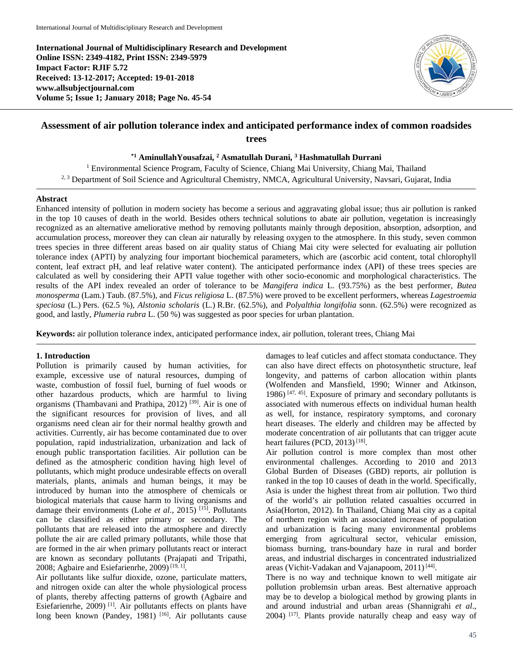**International Journal of Multidisciplinary Research and Development Online ISSN: 2349-4182, Print ISSN: 2349-5979 Impact Factor: RJIF 5.72 Received: 13-12-2017; Accepted: 19-01-2018 www.allsubjectjournal.com Volume 5; Issue 1; January 2018; Page No. 45-54**



# **Assessment of air pollution tolerance index and anticipated performance index of common roadsides trees**

**\*1 AminullahYousafzai, 2 Asmatullah Durani, 3 Hashmatullah Durrani**

<sup>1</sup> Environmental Science Program, Faculty of Science, Chiang Mai University, Chiang Mai, Thailand <sup>2, 3</sup> Department of Soil Science and Agricultural Chemistry, NMCA, Agricultural University, Navsari, Gujarat, India

#### **Abstract**

Enhanced intensity of pollution in modern society has become a serious and aggravating global issue; thus air pollution is ranked in the top 10 causes of death in the world. Besides others technical solutions to abate air pollution, vegetation is increasingly recognized as an alternative ameliorative method by removing pollutants mainly through deposition, absorption, adsorption, and accumulation process, moreover they can clean air naturally by releasing oxygen to the atmosphere. In this study, seven common trees species in three different areas based on air quality status of Chiang Mai city were selected for evaluating air pollution tolerance index (APTI) by analyzing four important biochemical parameters, which are (ascorbic acid content, total chlorophyll content, leaf extract pH, and leaf relative water content). The anticipated performance index (API) of these trees species are calculated as well by considering their APTI value together with other socio-economic and morphological characteristics. The results of the API index revealed an order of tolerance to be *Mangifera indica* L. (93.75%) as the best performer*, Butea monosperma* (Lam.) Taub. (87.5%), and *Ficus religiosa* L. (87.5%) were proved to be excellent performers, whereas *Lagestroemia speciosa* (L.) Pers. (62.5 %), *Alstonia scholaris* (L.) R.Br. (62.5%), and *Polyalthia longifolia* sonn. (62.5%) were recognized as good, and lastly, *Plumeria rubra* L. (50 %) was suggested as poor species for urban plantation.

**Keywords:** air pollution tolerance index, anticipated performance index, air pollution, tolerant trees, Chiang Mai

### **1. Introduction**

Pollution is primarily caused by human activities, for example, excessive use of natural resources, dumping of waste, combustion of fossil fuel, burning of fuel woods or other hazardous products, which are harmful to living organisms (Thambavani and Prathipa, 2012) [39]. Air is one of the significant resources for provision of lives, and all organisms need clean air for their normal healthy growth and activities. Currently, air has become contaminated due to over population, rapid industrialization, urbanization and lack of enough public transportation facilities. Air pollution can be defined as the atmospheric condition having high level of pollutants, which might produce undesirable effects on overall materials, plants, animals and human beings, it may be introduced by human into the atmosphere of chemicals or biological materials that cause harm to living organisms and damage their environments (Lohe *et al.,* 2015) [15]. Pollutants can be classified as either primary or secondary. The pollutants that are released into the atmosphere and directly pollute the air are called primary pollutants, while those that are formed in the air when primary pollutants react or interact are known as secondary pollutants (Prajapati and Tripathi, 2008; Agbaire and Esiefarienrhe,  $2009$ <sup>[19, 1]</sup>.

Air pollutants like sulfur dioxide, ozone, particulate matters, and nitrogen oxide can alter the whole physiological process of plants, thereby affecting patterns of growth (Agbaire and Esiefarienrhe, 2009) [1]. Air pollutants effects on plants have long been known (Pandey, 1981)<sup>[16]</sup>. Air pollutants cause

damages to leaf cuticles and affect stomata conductance. They can also have direct effects on photosynthetic structure, leaf longevity, and patterns of carbon allocation within plants (Wolfenden and Mansfield, 1990; Winner and Atkinson, 1986) [47, 45]. Exposure of primary and secondary pollutants is associated with numerous effects on individual human health as well, for instance, respiratory symptoms, and coronary heart diseases. The elderly and children may be affected by moderate concentration of air pollutants that can trigger acute heart failures (PCD, 2013)<sup>[18]</sup>.

Air pollution control is more complex than most other environmental challenges. According to 2010 and 2013 Global Burden of Diseases (GBD) reports, air pollution is ranked in the top 10 causes of death in the world. Specifically, Asia is under the highest threat from air pollution. Two third of the world's air pollution related casualties occurred in Asia(Horton, 2012). In Thailand, Chiang Mai city as a capital of northern region with an associated increase of population and urbanization is facing many environmental problems emerging from agricultural sector, vehicular emission, biomass burning, trans-boundary haze in rural and border areas, and industrial discharges in concentrated industrialized areas (Vichit-Vadakan and Vajanapoom,  $2011$ )<sup>[44]</sup>.

There is no way and technique known to well mitigate air pollution problemsin urban areas. Best alternative approach may be to develop a biological method by growing plants in and around industrial and urban areas (Shannigrahi *et al*., 2004) [17]. Plants provide naturally cheap and easy way of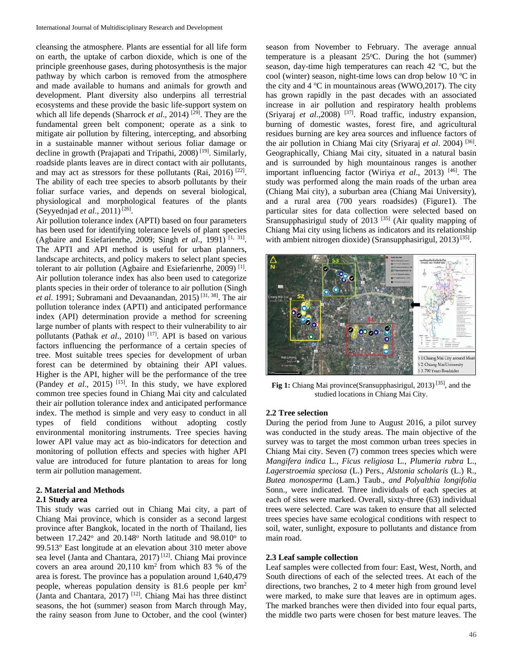cleansing the atmosphere. Plants are essential for all life form on earth, the uptake of carbon dioxide, which is one of the principle greenhouse gases, during photosynthesis is the major pathway by which carbon is removed from the atmosphere and made available to humans and animals for growth and development. Plant diversity also underpins all terrestrial ecosystems and these provide the basic life-support system on which all life depends (Sharrock *et al.*, 2014)<sup>[29]</sup>. They are the fundamental green belt component; operate as a sink to mitigate air pollution by filtering, intercepting, and absorbing in a sustainable manner without serious foliar damage or decline in growth (Prajapati and Tripathi, 2008) [19]. Similarly, roadside plants leaves are in direct contact with air pollutants, and may act as stressors for these pollutants (Rai, 2016)  $^{[22]}$ . The ability of each tree species to absorb pollutants by their foliar surface varies, and depends on several biological, physiological and morphological features of the plants (Seyyednjad et al., 2011)<sup>[26]</sup>.

Air pollution tolerance index (APTI) based on four parameters has been used for identifying tolerance levels of plant species (Agbaire and Esiefarienrhe, 2009; Singh *et al*., 1991) [1, 31] . The APTI and API method is useful for urban planners, landscape architects, and policy makers to select plant species tolerant to air pollution (Agbaire and Esiefarienrhe, 2009) [1]. Air pollution tolerance index has also been used to categorize plants species in their order of tolerance to air pollution (Singh *et al*. 1991; Subramani and Devaanandan, 2015) [31, 38] . The air pollution tolerance index (APTI) and anticipated performance index (API) determination provide a method for screening large number of plants with respect to their vulnerability to air pollutants (Pathak et al., 2010)<sup>[17]</sup>. API is based on various factors influencing the performance of a certain species of tree. Most suitable trees species for development of urban forest can be determined by obtaining their API values. Higher is the API, higher will be the performance of the tree (Pandey *et al*., 2015) [15]. In this study, we have explored common tree species found in Chiang Mai city and calculated their air pollution tolerance index and anticipated performance index. The method is simple and very easy to conduct in all types of field conditions without adopting costly environmental monitoring instruments. Tree species having lower API value may act as bio-indicators for detection and monitoring of pollution effects and species with higher API value are introduced for future plantation to areas for long term air pollution management.

#### **2. Material and Methods**

#### **2.1 Study area**

This study was carried out in Chiang Mai city, a part of Chiang Mai province, which is consider as a second largest province after Bangkok, located in the north of Thailand, lies between  $17.242^{\circ}$  and  $20.148^{\circ}$  North latitude and  $98.010^{\circ}$  to 99.513° East longitude at an elevation about 310 meter above sea level (Janta and Chantara, 2017)<sup>[12]</sup>. Chiang Mai province covers an area around 20,110 km2 from which 83 % of the area is forest. The province has a population around 1,640,479 people, whereas population density is 81.6 people per km2 (Janta and Chantara, 2017) [12]. Chiang Mai has three distinct seasons, the hot (summer) season from March through May, the rainy season from June to October, and the cool (winter)

season from November to February. The average annual temperature is a pleasant  $25^{\circ}$ C. During the hot (summer) season, day-time high temperatures can reach 42 °C, but the cool (winter) season, night-time lows can drop below 10 °C in the city and  $4^{\circ}$ C in mountainous areas (WWO, 2017). The city has grown rapidly in the past decades with an associated increase in air pollution and respiratory health problems (Sriyaraj *et al*.,2008) [37]. Road traffic, industry expansion, burning of domestic wastes, forest fire, and agricultural residues burning are key area sources and influence factors of the air pollution in Chiang Mai city (Sriyaraj *et al*. 2004) [36]. Geographically, Chiang Mai city, situated in a natural basin and is surrounded by high mountainous ranges is another important influencing factor (Wiriya *et al*., 2013) [46]. The study was performed along the main roads of the urban area (Chiang Mai city), a suburban area (Chiang Mai University), and a rural area (700 years roadsides) (Figure1). The particular sites for data collection were selected based on Sransupphasirigul study of 2013<sup>[35]</sup> (Air quality mapping of Chiang Mai city using lichens as indicators and its relationship with ambient nitrogen dioxide) (Sransupphasirigul, 2013)<sup>[35]</sup>.



**Fig 1:** Chiang Mai province(Sransupphasirigul, 2013) [35], and the studied locations in Chiang Mai City.

#### **2.2 Tree selection**

During the period from June to August 2016, a pilot survey was conducted in the study areas. The main objective of the survey was to target the most common urban trees species in Chiang Mai city. Seven (7) common trees species which were *Mangifera indica* L., *Ficus religiosa* L*.*, *Plumeria rubra* L., *Lagerstroemia speciosa* (L.) Pers., *Alstonia scholaris* (L.) R., *Butea monosperma* (Lam.) Taub., *and Polyalthia longifolia* Sonn., were indicated. Three individuals of each species at each of sites were marked. Overall, sixty-three (63) individual trees were selected. Care was taken to ensure that all selected trees species have same ecological conditions with respect to soil, water, sunlight, exposure to pollutants and distance from main road.

#### **2.3 Leaf sample collection**

Leaf samples were collected from four: East, West, North, and South directions of each of the selected trees. At each of the directions, two branches, 2 to 4 meter high from ground level were marked, to make sure that leaves are in optimum ages. The marked branches were then divided into four equal parts, the middle two parts were chosen for best mature leaves. The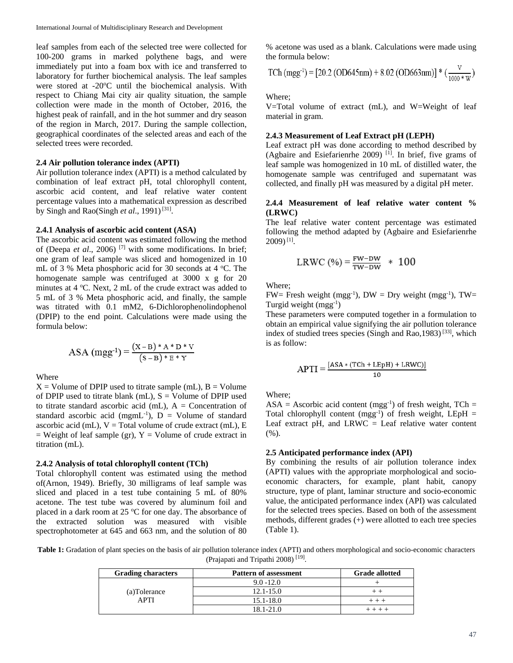leaf samples from each of the selected tree were collected for 100-200 grams in marked polythene bags, and were immediately put into a foam box with ice and transferred to laboratory for further biochemical analysis. The leaf samples were stored at -20°C until the biochemical analysis. With respect to Chiang Mai city air quality situation, the sample collection were made in the month of October, 2016, the highest peak of rainfall, and in the hot summer and dry season of the region in March, 2017. During the sample collection, geographical coordinates of the selected areas and each of the selected trees were recorded.

#### **2.4 Air pollution tolerance index (APTI)**

Air pollution tolerance index (APTI) is a method calculated by combination of leaf extract pH, total chlorophyll content, ascorbic acid content, and leaf relative water content percentage values into a mathematical expression as described by Singh and Rao(Singh *et al.*, 1991)<sup>[31]</sup>.

# **2.4.1 Analysis of ascorbic acid content (ASA)**

The ascorbic acid content was estimated following the method of (Deepa *et al*., 2006) [7] with some modifications. In brief; one gram of leaf sample was sliced and homogenized in 10 mL of 3 % Meta phosphoric acid for 30 seconds at 4 °C. The homogenate sample was centrifuged at 3000 x g for 20 minutes at 4 °C. Next, 2 mL of the crude extract was added to 5 mL of 3 % Meta phosphoric acid, and finally, the sample was titrated with 0.1 mM2, 6-Dichlorophenolindophenol (DPIP) to the end point. Calculations were made using the formula below:

ASA (mgg<sup>-1</sup>) = 
$$
\frac{(X-B)*A*D*V}{(S-B)*E*Y}
$$

Where

 $X =$  Volume of DPIP used to titrate sample (mL),  $B =$  Volume of DPIP used to titrate blank (mL),  $S =$  Volume of DPIP used to titrate standard ascorbic acid (mL),  $A =$ Concentration of standard ascorbic acid (mgmL<sup>-1</sup>),  $D =$  Volume of standard ascorbic acid (mL),  $V = Total volume of crude extract (mL), E$  $=$  Weight of leaf sample (gr), Y  $=$  Volume of crude extract in titration (mL).

#### **2.4.2 Analysis of total chlorophyll content (TCh)**

Total chlorophyll content was estimated using the method of(Arnon, 1949). Briefly, 30 milligrams of leaf sample was sliced and placed in a test tube containing 5 mL of 80% acetone. The test tube was covered by aluminum foil and placed in a dark room at 25 °C for one day. The absorbance of the extracted solution was measured with visible spectrophotometer at 645 and 663 nm, and the solution of 80

% acetone was used as a blank. Calculations were made using the formula below:

TCh (mgg<sup>-1</sup>) = [20.2 (OD645nm) + 8.02 (OD663nm)] \* (
$$
\frac{v}{1000 \times w}
$$
)

Where;

V=Total volume of extract (mL), and W=Weight of leaf material in gram.

### **2.4.3 Measurement of Leaf Extract pH (LEPH)**

Leaf extract pH was done according to method described by (Agbaire and Esiefarienrhe 2009)  $\text{[1]}$ . In brief, five grams of leaf sample was homogenized in 10 mL of distilled water, the homogenate sample was centrifuged and supernatant was collected, and finally pH was measured by a digital pH meter.

#### **2.4.4 Measurement of leaf relative water content % (LRWC)**

The leaf relative water content percentage was estimated following the method adapted by (Agbaire and Esiefarienrhe  $2009$ <sup>[1]</sup>.

$$
LRWC\ (\%) = \frac{FW-DW}{TW-DW} \ *\ 100
$$

Where;

FW= Fresh weight (mgg<sup>-1</sup>), DW = Dry weight (mgg<sup>-1</sup>), TW= Turgid weight (mgg<sup>-1</sup>)

These parameters were computed together in a formulation to obtain an empirical value signifying the air pollution tolerance index of studied trees species (Singh and Rao, 1983)<sup>[33]</sup>, which is as follow:

$$
APTI = \frac{[ASA * (TCh + LEpH) + LRWC)]}{10}
$$

Where;

 $ASA = Ascorbic acid content (mgg<sup>-1</sup>) of fresh weight, TCh =$ Total chlorophyll content  $(mgg^{-1})$  of fresh weight, LEpH = Leaf extract pH, and  $LRWC =$  Leaf relative water content (%).

#### **2.5 Anticipated performance index (API)**

By combining the results of air pollution tolerance index (APTI) values with the appropriate morphological and socioeconomic characters, for example, plant habit, canopy structure, type of plant, laminar structure and socio-economic value, the anticipated performance index (API) was calculated for the selected trees species. Based on both of the assessment methods, different grades (+) were allotted to each tree species (Table 1).

**Table 1:** Gradation of plant species on the basis of air pollution tolerance index (APTI) and others morphological and socio-economic characters (Prajapati and Tripathi 2008) [19].

| <b>Grading characters</b> | <b>Pattern of assessment</b> | <b>Grade allotted</b> |
|---------------------------|------------------------------|-----------------------|
| (a)Tolerance<br>APTI      | $9.0 - 12.0$                 |                       |
|                           | $12.1 - 15.0$                |                       |
|                           | 15.1-18.0                    |                       |
|                           | 18.1-21.0                    |                       |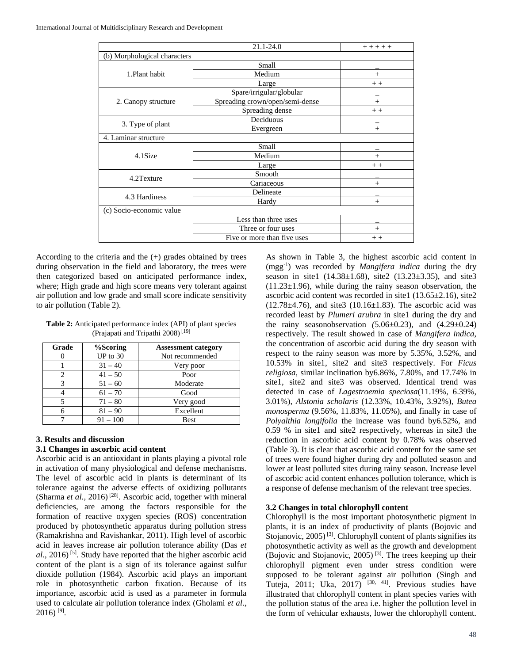|                              | 21.1-24.0                       | $+ + + + +$ |
|------------------------------|---------------------------------|-------------|
| (b) Morphological characters |                                 |             |
|                              | Small                           |             |
| 1.Plant habit                | Medium                          | $^{+}$      |
|                              | Large                           | $+ +$       |
|                              | Spare/irrigular/globular        |             |
| 2. Canopy structure          | Spreading crown/open/semi-dense | $^{+}$      |
|                              | Spreading dense                 | $+ +$       |
|                              | Deciduous                       |             |
| 3. Type of plant             | Evergreen                       | $+$         |
| 4. Laminar structure         |                                 |             |
|                              | Small                           |             |
| 4.1Size                      | Medium                          | $^{+}$      |
|                              | Large                           | $+ +$       |
| 4.2Texture                   | Smooth                          |             |
|                              | Cariaceous                      | $^{+}$      |
| 4.3 Hardiness                | Delineate                       |             |
|                              | Hardy                           | $^{+}$      |
| (c) Socio-economic value     |                                 |             |
|                              | Less than three uses            |             |
|                              | Three or four uses              | $^{+}$      |
|                              | Five or more than five uses     | $+ +$       |

According to the criteria and the (+) grades obtained by trees during observation in the field and laboratory, the trees were then categorized based on anticipated performance index, where; High grade and high score means very tolerant against air pollution and low grade and small score indicate sensitivity to air pollution (Table 2).

**Table 2:** Anticipated performance index (API) of plant species (Prajapati and Tripathi 2008) [19]

| Grade | %Scoring   | <b>Assessment category</b> |
|-------|------------|----------------------------|
|       | $UP$ to 30 | Not recommended            |
|       | $31 - 40$  | Very poor                  |
| 2     | $41 - 50$  | Poor                       |
| 3     | $51 - 60$  | Moderate                   |
|       | $61 - 70$  | Good                       |
|       | $71 - 80$  | Very good                  |
|       | $81 - 90$  | Excellent                  |
|       | $91 - 100$ | <b>Best</b>                |

# **3. Results and discussion**

### **3.1 Changes in ascorbic acid content**

Ascorbic acid is an antioxidant in plants playing a pivotal role in activation of many physiological and defense mechanisms. The level of ascorbic acid in plants is determinant of its tolerance against the adverse effects of oxidizing pollutants (Sharma et al., 2016)<sup>[28]</sup>. Ascorbic acid, together with mineral deficiencies, are among the factors responsible for the formation of reactive oxygen species (ROS) concentration produced by photosynthetic apparatus during pollution stress (Ramakrishna and Ravishankar, 2011). High level of ascorbic acid in leaves increase air pollution tolerance ability (Das *et al*., 2016) [5]. Study have reported that the higher ascorbic acid content of the plant is a sign of its tolerance against sulfur dioxide pollution (1984). Ascorbic acid plays an important role in photosynthetic carbon fixation. Because of its importance, ascorbic acid is used as a parameter in formula used to calculate air pollution tolerance index (Gholami *et al*.,  $2016$ ) [9].

As shown in Table 3, the highest ascorbic acid content in (mgg-1 ) was recorded by *Mangifera indica* during the dry season in site1 (14.38±1.68), site2 (13.23±3.35), and site3  $(11.23 \pm 1.96)$ , while during the rainy season observation, the ascorbic acid content was recorded in site1  $(13.65\pm2.16)$ , site2  $(12.78\pm4.76)$ , and site3  $(10.16\pm1.83)$ . The ascorbic acid was recorded least by *Plumeri arubra* in site1 during the dry and the rainy seasonobservation  $(5.06\pm0.23)$ , and  $(4.29\pm0.24)$ respectively. The result showed in case of *Mangifera indica*, the concentration of ascorbic acid during the dry season with respect to the rainy season was more by 5.35%, 3.52%, and 10.53% in site1, site2 and site3 respectively. For *Ficus religiosa,* similar inclination by6.86%, 7.80%, and 17.74% in site1, site2 and site3 was observed. Identical trend was detected in case of *Lagestroemia speciosa*(11.19%, 6.39%, 3.01%), *Alstonia scholaris* (12.33%, 10.43%, 3.92%)*, Butea monosperma* (9.56%, 11.83%, 11.05%), and finally in case of *Polyalthia longifolia* the increase was found by6.52%, and 0.59 % in site1 and site2 respectively, whereas in site3 the reduction in ascorbic acid content by 0.78% was observed (Table 3). It is clear that ascorbic acid content for the same set of trees were found higher during dry and polluted season and lower at least polluted sites during rainy season. Increase level of ascorbic acid content enhances pollution tolerance, which is a response of defense mechanism of the relevant tree species.

# **3.2 Changes in total chlorophyll content**

Chlorophyll is the most important photosynthetic pigment in plants, it is an index of productivity of plants (Bojovic and Stojanovic,  $2005$ <sup>[3]</sup>. Chlorophyll content of plants signifies its photosynthetic activity as well as the growth and development (Bojovic and Stojanovic, 2005) [3]. The trees keeping up their chlorophyll pigment even under stress condition were supposed to be tolerant against air pollution (Singh and Tuteja, 2011; Uka, 2017) <sup>[30, 41]</sup>. Previous studies have illustrated that chlorophyll content in plant species varies with the pollution status of the area i.e. higher the pollution level in the form of vehicular exhausts, lower the chlorophyll content.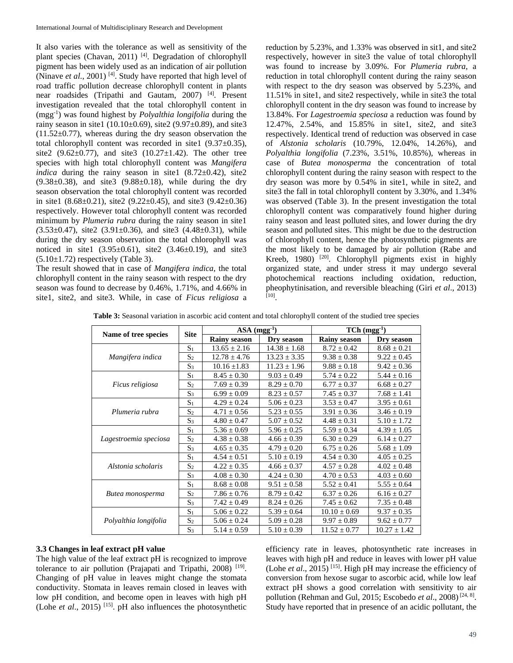It also varies with the tolerance as well as sensitivity of the plant species (Chavan, 2011)<sup>[4]</sup>. Degradation of chlorophyll pigment has been widely used as an indication of air pollution (Ninave *et al*., 2001) [4]. Study have reported that high level of road traffic pollution decrease chlorophyll content in plants near roadsides (Tripathi and Gautam, 2007) [4]. Present investigation revealed that the total chlorophyll content in (mgg-1 ) was found highest by *Polyalthia longifolia* during the rainy season in site1 (10.10±0.69), site2 (9.97±0.89), and site3 (11.52±0.77), whereas during the dry season observation the total chlorophyll content was recorded in site1 (9.37±0.35), site2 (9.62 $\pm$ 0.77), and site3 (10.27 $\pm$ 1.42). The other tree species with high total chlorophyll content was *Mangifera indica* during the rainy season in site1  $(8.72 \pm 0.42)$ , site2  $(9.38\pm0.38)$ , and site  $(9.88\pm0.18)$ , while during the dry season observation the total chlorophyll content was recorded in site1 (8.68 $\pm$ 0.21), site2 (9.22 $\pm$ 0.45), and site3 (9.42 $\pm$ 0.36) respectively. However total chlorophyll content was recorded minimum by *Plumeria rubra* during the rainy season in site1 *(*3.53±0.47), site2 (3.91±0.36), and site3 (4.48±0.31), while during the dry season observation the total chlorophyll was noticed in site1  $(3.95 \pm 0.61)$ , site2  $(3.46 \pm 0.19)$ , and site3  $(5.10\pm1.72)$  respectively (Table 3).

The result showed that in case of *Mangifera indica*, the total chlorophyll content in the rainy season with respect to the dry season was found to decrease by 0.46%, 1.71%, and 4.66% in site1, site2, and site3. While, in case of *Ficus religiosa* a

reduction by 5.23%, and 1.33% was observed in sit1, and site2 respectively, however in site3 the value of total chlorophyll was found to increase by 3.09%. For *Plumeria rubra*, a reduction in total chlorophyll content during the rainy season with respect to the dry season was observed by 5.23%, and 11.51% in site1, and site2 respectively, while in site3 the total chlorophyll content in the dry season was found to increase by 13.84%. For *Lagestroemia speciosa* a reduction was found by 12.47%, 2.54%, and 15.85% in site1, site2, and site3 respectively. Identical trend of reduction was observed in case of *Alstonia scholaris* (10.79%, 12.04%, 14.26%), and *Polyalthia longifolia* (7.23%, 3.51%, 10.85%), whereas in case of *Butea monosperma* the concentration of total chlorophyll content during the rainy season with respect to the dry season was more by 0.54% in site1, while in site2, and site3 the fall in total chlorophyll content by 3.30%, and 1.34% was observed (Table 3). In the present investigation the total chlorophyll content was comparatively found higher during rainy season and least polluted sites, and lower during the dry season and polluted sites. This might be due to the destruction of chlorophyll content, hence the photosynthetic pigments are the most likely to be damaged by air pollution (Rabe and Kreeb, 1980)  $[20]$ . Chlorophyll pigments exist in highly organized state, and under stress it may undergo several photochemical reactions including oxidation, reduction, pheophytinisation, and reversible bleaching (Giri *et al*., 2013) [10].

**Table 3:** Seasonal variation in ascorbic acid content and total chlorophyll content of the studied tree species

|                       | <b>Site</b>    | $ASA (mgg-1)$                     |                  | $TCh (mgg^{-1})$    |                  |  |
|-----------------------|----------------|-----------------------------------|------------------|---------------------|------------------|--|
| Name of tree species  |                | <b>Rainy season</b><br>Dry season |                  | <b>Rainy season</b> | Dry season       |  |
|                       | S <sub>1</sub> | $13.65 \pm 2.16$                  | $14.38 \pm 1.68$ | $8.72 \pm 0.42$     | $8.68 \pm 0.21$  |  |
| Mangifera indica      | S <sub>2</sub> | $12.78 \pm 4.76$                  | $13.23 \pm 3.35$ | $9.38 \pm 0.38$     | $9.22 \pm 0.45$  |  |
|                       | S <sub>3</sub> | $10.16 \pm 1.83$                  | $11.23 \pm 1.96$ | $9.88 \pm 0.18$     | $9.42 \pm 0.36$  |  |
|                       | S <sub>1</sub> | $8.45 \pm 0.30$                   | $9.03 \pm 0.49$  | $5.74 \pm 0.22$     | $5.44 \pm 0.16$  |  |
| Ficus religiosa       | S <sub>2</sub> | $7.69 \pm 0.39$                   | $8.29 \pm 0.70$  | $6.77 \pm 0.37$     | $6.68 \pm 0.27$  |  |
|                       | $S_3$          | $6.99 \pm 0.09$                   | $8.23 \pm 0.57$  | $7.45 \pm 0.37$     | $7.68 \pm 1.41$  |  |
|                       | S <sub>1</sub> | $4.29 \pm 0.24$                   | $5.06 \pm 0.23$  | $3.53 \pm 0.47$     | $3.95 \pm 0.61$  |  |
| Plumeria rubra        | S <sub>2</sub> | $4.71 \pm 0.56$                   | $5.23 \pm 0.55$  | $3.91 \pm 0.36$     | $3.46 \pm 0.19$  |  |
|                       | S <sub>3</sub> | $4.80 \pm 0.47$                   | $5.07 \pm 0.52$  | $4.48 \pm 0.31$     | $5.10 \pm 1.72$  |  |
|                       | $S_1$          | $5.36 \pm 0.69$                   | $5.96 \pm 0.25$  | $5.59 \pm 0.34$     | $4.39 \pm 1.05$  |  |
| Lagestroemia speciosa | $S_2$          | $4.38 \pm 0.38$                   | $4.66 \pm 0.39$  | $6.30 \pm 0.29$     | $6.14 \pm 0.27$  |  |
|                       | S <sub>3</sub> | $4.65 \pm 0.35$                   | $4.79 \pm 0.20$  | $6.75 \pm 0.26$     | $5.68 \pm 1.09$  |  |
|                       | S <sub>1</sub> | $4.54 \pm 0.51$                   | $5.10 \pm 0.19$  | $4.54 \pm 0.30$     | $4.05 \pm 0.25$  |  |
| Alstonia scholaris    | S <sub>2</sub> | $4.22 \pm 0.35$                   | $4.66 \pm 0.37$  | $4.57 \pm 0.28$     | $4.02 \pm 0.48$  |  |
|                       | S <sub>3</sub> | $4.08 \pm 0.30$                   | $4.24 \pm 0.30$  | $4.70 \pm 0.53$     | $4.03 \pm 0.60$  |  |
|                       | S <sub>1</sub> | $8.68 \pm 0.08$                   | $9.51 \pm 0.58$  | $5.52 \pm 0.41$     | $5.55 \pm 0.64$  |  |
| Butea monosperma      | S <sub>2</sub> | $7.86 \pm 0.76$                   | $8.79 \pm 0.42$  | $6.37 \pm 0.26$     | $6.16 \pm 0.27$  |  |
|                       | S <sub>3</sub> | $7.42 \pm 0.49$                   | $8.24 \pm 0.26$  | $7.45 \pm 0.62$     | $7.35 \pm 0.48$  |  |
|                       | S <sub>1</sub> | $5.06 \pm 0.22$                   | $5.39 \pm 0.64$  | $10.10 \pm 0.69$    | $9.37 \pm 0.35$  |  |
| Polyalthia longifolia | S <sub>2</sub> | $5.06 \pm 0.24$                   | $5.09 \pm 0.28$  | $9.97 \pm 0.89$     | $9.62 \pm 0.77$  |  |
|                       | S <sub>3</sub> | $5.14 \pm 0.59$                   | $5.10 \pm 0.39$  | $11.52 \pm 0.77$    | $10.27 \pm 1.42$ |  |

#### **3.3 Changes in leaf extract pH value**

The high value of the leaf extract pH is recognized to improve tolerance to air pollution (Prajapati and Tripathi, 2008) [19]. Changing of pH value in leaves might change the stomata conductivity. Stomata in leaves remain closed in leaves with low pH condition, and become open in leaves with high pH (Lohe *et al*., 2015) [15]. pH also influences the photosynthetic

efficiency rate in leaves, photosynthetic rate increases in leaves with high pH and reduce in leaves with lower pH value (Lohe *et al*., 2015) [15]. High pH may increase the efficiency of conversion from hexose sugar to ascorbic acid, while low leaf extract pH shows a good correlation with sensitivity to air pollution (Rehman and Gul, 2015; Escobedo *et al.*, 2008)<sup>[24, 8]</sup>. Study have reported that in presence of an acidic pollutant, the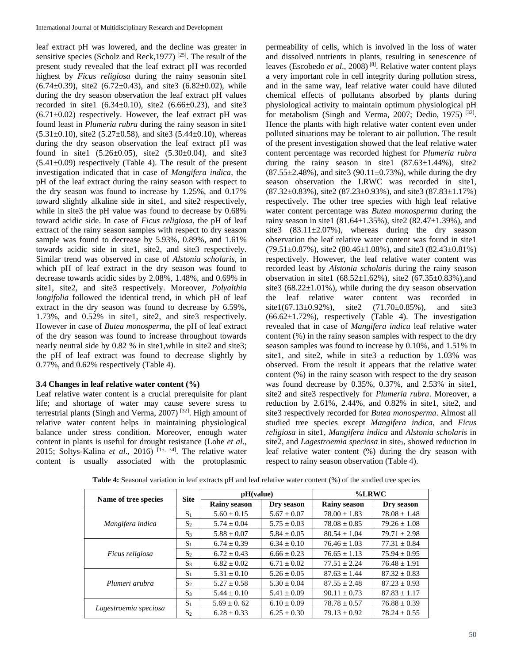leaf extract pH was lowered, and the decline was greater in sensitive species (Scholz and Reck, 1977)  $[25]$ . The result of the present study revealed that the leaf extract pH was recorded highest by *Ficus religiosa* during the rainy seasonin site1  $(6.74\pm0.39)$ , site2  $(6.72\pm0.43)$ , and site3  $(6.82\pm0.02)$ , while during the dry season observation the leaf extract pH values recorded in site1  $(6.34 \pm 0.10)$ , site2  $(6.66 \pm 0.23)$ , and site3  $(6.71\pm0.02)$  respectively. However, the leaf extract pH was found least in *Plumeria rubra* during the rainy season in site1  $(5.31\pm0.10)$ , site2  $(5.27\pm0.58)$ , and site3  $(5.44\pm0.10)$ , whereas during the dry season observation the leaf extract pH was found in site1  $(5.26 \pm 0.05)$ , site2  $(5.30 \pm 0.04)$ , and site3  $(5.41\pm0.09)$  respectively (Table 4). The result of the present investigation indicated that in case of *Mangifera indica*, the pH of the leaf extract during the rainy season with respect to the dry season was found to increase by 1.25%, and 0.17% toward slightly alkaline side in site1, and site2 respectively, while in site3 the pH value was found to decrease by 0.68% toward acidic side. In case of *Ficus religiosa*, the pH of leaf extract of the rainy season samples with respect to dry season sample was found to decrease by 5.93%, 0.89%, and 1.61% towards acidic side in site1, site2, and site3 respectively. Similar trend was observed in case of *Alstonia scholaris*, in which pH of leaf extract in the dry season was found to decrease towards acidic sides by 2.08%, 1.48%, and 0.69% in site1, site2, and site3 respectively. Moreover, *Polyalthia longifolia* followed the identical trend, in which pH of leaf extract in the dry season was found to decrease by 6.59%, 1.73%, and 0.52% in site1, site2, and site3 respectively. However in case of *Butea monosperma*, the pH of leaf extract of the dry season was found to increase throughout towards nearly neutral side by 0.82 % in site1,while in site2 and site3; the pH of leaf extract was found to decrease slightly by 0.77%, and 0.62% respectively (Table 4).

### **3.4 Changes in leaf relative water content (%)**

Leaf relative water content is a crucial prerequisite for plant life; and shortage of water may cause severe stress to terrestrial plants (Singh and Verma, 2007)<sup>[32]</sup>. High amount of relative water content helps in maintaining physiological balance under stress condition. Moreover, enough water content in plants is useful for drought resistance (Lohe *et al*., 2015; Soltys-Kalina *et al*., 2016) [15, 34] . The relative water content is usually associated with the protoplasmic

permeability of cells, which is involved in the loss of water and dissolved nutrients in plants, resulting in senescence of leaves (Escobedo *et al*., 2008) [8]. Relative water content plays a very important role in cell integrity during pollution stress, and in the same way, leaf relative water could have diluted chemical effects of pollutants absorbed by plants during physiological activity to maintain optimum physiological pH for metabolism (Singh and Verma, 2007; Dedio, 1975)  $^{[32]}$ . Hence the plants with high relative water content even under polluted situations may be tolerant to air pollution. The result of the present investigation showed that the leaf relative water content percentage was recorded highest for *Plumeria rubra* during the rainy season in site1  $(87.63 \pm 1.44\%)$ , site2  $(87.55\pm2.48\%)$ , and site 3 (90.11 $\pm$ 0.73%), while during the dry season observation the LRWC was recorded in site1,  $(87.32\pm0.83\%)$ , site2  $(87.23\pm0.93\%)$ , and site3  $(87.83\pm1.17\%)$ respectively. The other tree species with high leaf relative water content percentage was *Butea monosperma* during the rainy season in site1 (81.64 $\pm$ 1.35%), site2 (82.47 $\pm$ 1.39%), and site3 (83.11±2.07%), whereas during the dry season observation the leaf relative water content was found in site1 (79.51±0.87%), site2 (80.46±1.08%), and site3 (82.43±0.81%) respectively. However, the leaf relative water content was recorded least by *Alstonia scholaris* during the rainy season observation in site1 (68.52±1.62%), site2 (67.35±0.83%),and site3 (68.22±1.01%), while during the dry season observation the leaf relative water content was recorded in  $site1(67.13\pm0.92\%)$ ,  $site2$   $(71.70\pm0.85\%)$ , and  $site3$  $(66.62 \pm 1.72\%)$ , respectively (Table 4). The investigation revealed that in case of *Mangifera indica* leaf relative water content (%) in the rainy season samples with respect to the dry season samples was found to increase by 0.10%, and 1.51% in site1, and site2, while in site3 a reduction by 1.03% was observed. From the result it appears that the relative water content (%) in the rainy season with respect to the dry season was found decrease by 0.35%, 0.37%, and 2.53% in site1, site2 and site3 respectively for *Plumeria rubra*. Moreover, a reduction by 2.61%, 2.44%, and 0.82% in site1, site2, and site3 respectively recorded for *Butea monosperma*. Almost all studied tree species except *Mangifera indica*, and *Ficus religiosa* in site1, *Mangifera indica* and *Alstonia scholaris* in site2, and *Lagestroemia speciosa* in site<sub>3</sub>, showed reduction in leaf relative water content (%) during the dry season with respect to rainy season observation (Table 4).

|                       | <b>Site</b>    | pH(value)           |                 | $%$ LRWC            |                  |  |
|-----------------------|----------------|---------------------|-----------------|---------------------|------------------|--|
| Name of tree species  |                | <b>Rainy season</b> | Dry season      | <b>Rainy season</b> | Dry season       |  |
|                       | $\mathrm{S}_1$ | $5.60 + 0.15$       | $5.67 + 0.07$   | $78.00 + 1.83$      | $78.08 \pm 1.48$ |  |
| Mangifera indica      | S <sub>2</sub> | $5.74 + 0.04$       | $5.75 \pm 0.03$ | $78.08 \pm 0.85$    | $79.26 \pm 1.08$ |  |
|                       | $S_3$          | $5.88 \pm 0.07$     | $5.84 + 0.05$   | $80.54 + 1.04$      | $79.71 \pm 2.98$ |  |
| Ficus religiosa       | S <sub>1</sub> | $6.74 + 0.39$       | $6.34 + 0.10$   | $76.46 + 1.03$      | $77.31 + 0.84$   |  |
|                       | S <sub>2</sub> | $6.72 + 0.43$       | $6.66 + 0.23$   | $76.65 \pm 1.13$    | $75.94 \pm 0.95$ |  |
|                       | S <sub>3</sub> | $6.82 + 0.02$       | $6.71 + 0.02$   | $77.51 + 2.24$      | $76.48 + 1.91$   |  |
|                       | $\mathrm{S}_1$ | $5.31 \pm 0.10$     | $5.26 + 0.05$   | $87.63 + 1.44$      | $87.32 + 0.83$   |  |
| Plumeri arubra        | S <sub>2</sub> | $5.27 + 0.58$       | $5.30 + 0.04$   | $87.55 + 2.48$      | $87.23 + 0.93$   |  |
|                       | $S_3$          | $5.44 + 0.10$       | $5.41 + 0.09$   | $90.11 \pm 0.73$    | $87.83 \pm 1.17$ |  |
|                       | S <sub>1</sub> | $5.69 \pm 0.62$     | $6.10 + 0.09$   | $78.78 \pm 0.57$    | $76.88 \pm 0.39$ |  |
| Lagestroemia speciosa | S <sub>2</sub> | $6.28 + 0.33$       | $6.25 + 0.30$   | $79.13 + 0.92$      | $78.24 + 0.55$   |  |

**Table 4:** Seasonal variation in leaf extracts pH and leaf relative water content (%) of the studied tree species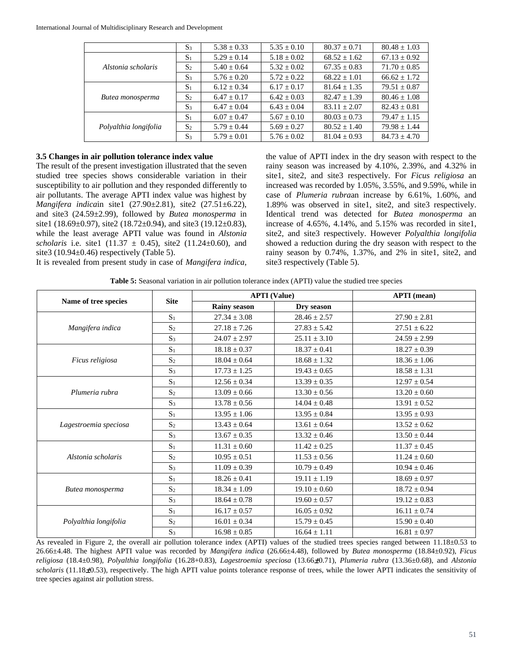|                       | S <sub>3</sub> | $5.38 \pm 0.33$ | $5.35 \pm 0.10$ | $80.37 + 0.71$   | $80.48 \pm 1.03$ |
|-----------------------|----------------|-----------------|-----------------|------------------|------------------|
|                       | S <sub>1</sub> | $5.29 \pm 0.14$ | $5.18 \pm 0.02$ | $68.52 \pm 1.62$ | $67.13 \pm 0.92$ |
| Alstonia scholaris    | S <sub>2</sub> | $5.40 + 0.64$   | $5.32 + 0.02$   | $67.35 + 0.83$   | $71.70 \pm 0.85$ |
|                       | S <sub>3</sub> | $5.76 + 0.20$   | $5.72 + 0.22$   | $68.22 + 1.01$   | $66.62 + 1.72$   |
| Butea monosperma      | $S_1$          | $6.12 \pm 0.34$ | $6.17 \pm 0.17$ | $81.64 \pm 1.35$ | $79.51 \pm 0.87$ |
|                       | S <sub>2</sub> | $6.47 + 0.17$   | $6.42 + 0.03$   | $82.47 + 1.39$   | $80.46 \pm 1.08$ |
|                       | $S_3$          | $6.47 + 0.04$   | $6.43 + 0.04$   | $83.11 + 2.07$   | $82.43 \pm 0.81$ |
| Polyalthia longifolia | $S_1$          | $6.07 + 0.47$   | $5.67 \pm 0.10$ | $80.03 \pm 0.73$ | $79.47 \pm 1.15$ |
|                       | S <sub>2</sub> | $5.79 \pm 0.44$ | $5.69 + 0.27$   | $80.52 + 1.40$   | $79.98 + 1.44$   |
|                       | S <sub>3</sub> | $5.79 \pm 0.01$ | $5.76 \pm 0.02$ | $81.04 + 0.93$   | $84.73 \pm 4.70$ |

### **3.5 Changes in air pollution tolerance index value**

The result of the present investigation illustrated that the seven studied tree species shows considerable variation in their susceptibility to air pollution and they responded differently to air pollutants. The average APTI index value was highest by *Mangifera indica*in site1 (27.90±2.81), site2 (27.51±6.22), and site3 (24.59±2.99), followed by *Butea monosperma* in site1 (18.69±0.97), site2 (18.72±0.94), and site3 (19.12±0.83), while the least average APTI value was found in *Alstonia scholaris* i.e. site1 (11.37  $\pm$  0.45), site2 (11.24 $\pm$ 0.60), and site3 (10.94±0.46) respectively (Table 5).

the value of APTI index in the dry season with respect to the rainy season was increased by 4.10%, 2.39%, and 4.32% in site1, site2, and site3 respectively. For *Ficus religiosa* an increased was recorded by 1.05%, 3.55%, and 9.59%, while in case of *Plumeria rubra*an increase by 6.61%, 1.60%, and 1.89% was observed in site1, site2, and site3 respectively. Identical trend was detected for *Butea monosperma* an increase of 4.65%, 4.14%, and 5.15% was recorded in site1, site2, and site3 respectively. However *Polyalthia longifolia* showed a reduction during the dry season with respect to the rainy season by 0.74%, 1.37%, and 2% in site1, site2, and site3 respectively (Table 5).

It is revealed from present study in case of *Mangifera indica*,

**Table 5:** Seasonal variation in air pollution tolerance index (APTI) value the studied tree species

|                       | <b>Site</b>    |                     | <b>APTI</b> (Value) | <b>APTI</b> (mean) |
|-----------------------|----------------|---------------------|---------------------|--------------------|
| Name of tree species  |                | <b>Rainy season</b> | Dry season          |                    |
|                       | S <sub>1</sub> | $27.34 + 3.08$      | $28.46 \pm 2.57$    | $27.90 + 2.81$     |
| Mangifera indica      | S <sub>2</sub> | $27.18 \pm 7.26$    | $27.83 \pm 5.42$    | $27.51 \pm 6.22$   |
|                       | S <sub>3</sub> | $24.07 \pm 2.97$    | $25.11 \pm 3.10$    | $24.59 \pm 2.99$   |
|                       | S <sub>1</sub> | $18.18 \pm 0.37$    | $18.37 \pm 0.41$    | $18.27 \pm 0.39$   |
| Ficus religiosa       | $S_2$          | $18.04 \pm 0.64$    | $18.68 \pm 1.32$    | $18.36 \pm 1.06$   |
|                       | S <sub>3</sub> | $17.73 \pm 1.25$    | $19.43 + 0.65$      | $18.58 \pm 1.31$   |
|                       | S <sub>1</sub> | $12.56 \pm 0.34$    | $13.39 \pm 0.35$    | $12.97 \pm 0.54$   |
| Plumeria rubra        | S <sub>2</sub> | $13.09 \pm 0.66$    | $13.30 \pm 0.56$    | $13.20 \pm 0.60$   |
|                       | $S_3$          | $13.78 \pm 0.56$    | $14.04 + 0.48$      | $13.91 \pm 0.52$   |
|                       | S <sub>1</sub> | $13.95 \pm 1.06$    | $13.95 \pm 0.84$    | $13.95 \pm 0.93$   |
| Lagestroemia speciosa | S <sub>2</sub> | $13.43 \pm 0.64$    | $13.61 \pm 0.64$    | $13.52 \pm 0.62$   |
|                       | S <sub>3</sub> | $13.67 \pm 0.35$    | $13.32 \pm 0.46$    | $13.50 \pm 0.44$   |
|                       | S <sub>1</sub> | $11.31 \pm 0.60$    | $11.42 \pm 0.25$    | $11.37 \pm 0.45$   |
| Alstonia scholaris    | S <sub>2</sub> | $10.95 \pm 0.51$    | $11.53 \pm 0.56$    | $11.24 \pm 0.60$   |
|                       | S <sub>3</sub> | $11.09 \pm 0.39$    | $10.79 \pm 0.49$    | $10.94 \pm 0.46$   |
|                       | S <sub>1</sub> | $18.26 \pm 0.41$    | $19.11 \pm 1.19$    | $18.69 \pm 0.97$   |
| Butea monosperma      | S <sub>2</sub> | $18.34 \pm 1.09$    | $19.10 \pm 0.60$    | $18.72 \pm 0.94$   |
|                       | S <sub>3</sub> | $18.64 \pm 0.78$    | $19.60 \pm 0.57$    | $19.12 \pm 0.83$   |
|                       | S <sub>1</sub> | $16.17 \pm 0.57$    | $16.05 \pm 0.92$    | $16.11 \pm 0.74$   |
| Polyalthia longifolia | S <sub>2</sub> | $16.01 \pm 0.34$    | $15.79 \pm 0.45$    | $15.90 \pm 0.40$   |
|                       | S <sub>3</sub> | $16.98 \pm 0.85$    | $16.64 \pm 1.11$    | $16.81 \pm 0.97$   |

As revealed in Figure 2, the overall air pollution tolerance index (APTI) values of the studied trees species ranged between 11.18±0.53 to 26.66±4.48. The highest APTI value was recorded by *Mangifera indica* (26.66±4.48), followed by *Butea monosperma* (18.84±0.92), *Ficus religiosa* (18.4±0.98), *Polyalthia longifolia* (16.28+0.83), *Lagestroemia speciosa* (13.66±0.71), *Plumeria rubra* (13.36±0.68), and *Alstonia scholaris* (11.18 $\pm$ 0.53), respectively. The high APTI value points tolerance response of trees, while the lower APTI indicates the sensitivity of tree species against air pollution stress.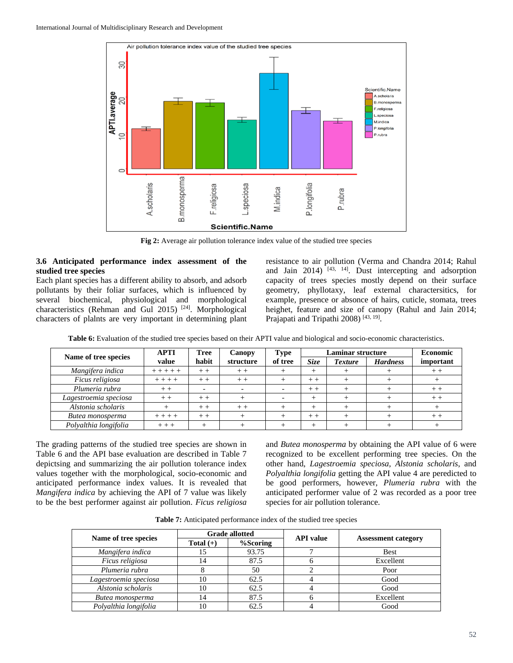

**Fig 2:** Average air pollution tolerance index value of the studied tree species

### **3.6 Anticipated performance index assessment of the studied tree species**

Each plant species has a different ability to absorb, and adsorb pollutants by their foliar surfaces, which is influenced by several biochemical, physiological and morphological characteristics (Rehman and Gul 2015)<sup>[24]</sup>. Morphological characters of plalnts are very important in determining plant resistance to air pollution (Verma and Chandra 2014; Rahul and Jain  $2014$ )  $[43, 14]$ . Dust intercepting and adsorption capacity of trees species mostly depend on their surface geometry, phyllotaxy, leaf external charactersitics, for example, presence or absonce of hairs, cuticle, stomata, trees heighet, feature and size of canopy (Rahul and Jain 2014; Prajapati and Tripathi 2008)<sup>[43, 19]</sup>.

| Name of tree species  | <b>APTI</b> | Tree<br>Canopy |           | <b>Laminar structure</b><br><b>Type</b> |       |                | <b>Economic</b> |           |
|-----------------------|-------------|----------------|-----------|-----------------------------------------|-------|----------------|-----------------|-----------|
|                       | value       | habit          | structure | of tree                                 | Size  | <b>Texture</b> | <b>Hardness</b> | important |
| Mangifera indica      | $+ + + + +$ | $+ +$          | $+ +$     |                                         |       |                |                 | $+ +$     |
| Ficus religiosa       | $+ + + +$   | $+ +$          | $+ +$     |                                         | $+ +$ |                |                 |           |
| Plumeria rubra        |             |                |           |                                         | $+ +$ |                |                 | $+ +$     |
| Lagestroemia speciosa |             | $+ +$          |           |                                         |       |                |                 | $+ +$     |
| Alstonia scholaris    |             | $+ +$          | $+ +$     |                                         |       |                |                 |           |
| Butea monosperma      | $+ +$       | $+ +$          |           |                                         | $+ +$ |                |                 | $+ \cdot$ |
| Polyalthia longifolia | $+ + +$     |                |           |                                         |       |                |                 |           |

**Table 6:** Evaluation of the studied tree species based on their APTI value and biological and socio-economic characteristics.

The grading patterns of the studied tree species are shown in Table 6 and the API base evaluation are described in Table 7 depictsing and summarizing the air pollution tolerance index values together with the morphological, socio-economic and anticipated performance index values. It is revealed that *Mangifera indica* by achieving the API of 7 value was likely to be the best performer against air pollution. *Ficus religiosa*

and *Butea monosperma* by obtaining the API value of 6 were recognized to be excellent performing tree species. On the other hand, *Lagestroemia speciosa*, *Alstonia scholaris*, and *Polyalthia longifolia* getting the API value 4 are peredicted to be good performers, however, *Plumeria rubra* with the anticipated performer value of 2 was recorded as a poor tree species for air pollution tolerance.

| <b>Table 7:</b> Anticipated performance index of the studied tree species |  |  |
|---------------------------------------------------------------------------|--|--|
|---------------------------------------------------------------------------|--|--|

| Name of tree species  |             | <b>Grade allotted</b> | <b>API</b> value | <b>Assessment category</b> |  |
|-----------------------|-------------|-----------------------|------------------|----------------------------|--|
|                       | Total $(+)$ | %Scoring              |                  |                            |  |
| Mangifera indica      | 15          | 93.75                 |                  | <b>Best</b>                |  |
| Ficus religiosa       | 14          | 87.5                  |                  | Excellent                  |  |
| Plumeria rubra        | δ           | 50                    |                  | Poor                       |  |
| Lagestroemia speciosa | 10          | 62.5                  |                  | Good                       |  |
| Alstonia scholaris    | 10          | 62.5                  |                  | Good                       |  |
| Butea monosperma      | 14          | 87.5                  |                  | Excellent                  |  |
| Polyalthia longifolia | 10          | 62.5                  |                  | Good                       |  |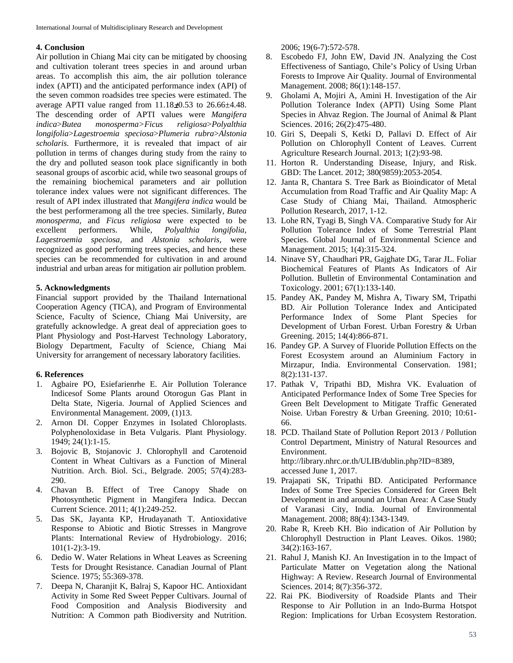#### **4. Conclusion**

Air pollution in Chiang Mai city can be mitigated by choosing and cultivation tolerant trees species in and around urban areas. To accomplish this aim, the air pollution tolerance index (APTI) and the anticipated performance index (API) of the seven common roadsides tree species were estimated. The average APTI value ranged from  $11.18\pm0.53$  to  $26.66\pm4.48$ . The descending order of APTI values were *Mangifera indica*>*Butea monosperma>Ficus religiosa*>*Polyalthia longifolia*>*Lagestroemia speciosa*>*Plumeria rubra*>*Alstonia scholaris*. Furthermore, it is revealed that impact of air pollution in terms of changes during study from the rainy to the dry and polluted season took place significantly in both seasonal groups of ascorbic acid, while two seasonal groups of the remaining biochemical parameters and air pollution tolerance index values were not significant differences. The result of API index illustrated that *Mangifera indica* would be the best performeramong all the tree species. Similarly, *Butea monosperma*, and *Ficus religiosa* were expected to be excellent performers. While, *Polyalthia longifolia*, *Lagestroemia speciosa*, and *Alstonia scholaris,* were recognized as good performing trees species, and hence these species can be recommended for cultivation in and around industrial and urban areas for mitigation air pollution problem.

### **5. Acknowledgments**

Financial support provided by the Thailand International Cooperation Agency (TICA), and Program of Environmental Science, Faculty of Science, Chiang Mai University, are gratefully acknowledge. A great deal of appreciation goes to Plant Physiology and Post-Harvest Technology Laboratory, Biology Department, Faculty of Science, Chiang Mai University for arrangement of necessary laboratory facilities.

### **6. References**

- 1. Agbaire PO, Esiefarienrhe E. Air Pollution Tolerance Indicesof Some Plants around Otorogun Gas Plant in Delta State, Nigeria. Journal of Applied Sciences and Environmental Management. 2009, (1)13.
- 2. Arnon DI. Copper Enzymes in Isolated Chloroplasts. Polyphenoloxidase in Beta Vulgaris. Plant Physiology. 1949; 24(1):1-15.
- 3. Bojovic B, Stojanovic J. Chlorophyll and Carotenoid Content in Wheat Cultivars as a Function of Mineral Nutrition. Arch. Biol. Sci., Belgrade. 2005; 57(4):283- 290.
- 4. Chavan B. Effect of Tree Canopy Shade on Photosynthetic Pigment in Mangifera Indica. Deccan Current Science. 2011; 4(1):249-252.
- 5. Das SK, Jayanta KP, Hrudayanath T. Antioxidative Response to Abiotic and Biotic Stresses in Mangrove Plants: International Review of Hydrobiology. 2016; 101(1-2):3-19.
- 6. Dedio W. Water Relations in Wheat Leaves as Screening Tests for Drought Resistance. Canadian Journal of Plant Science. 1975; 55:369-378.
- 7. Deepa N, Charanjit K, Balraj S, Kapoor HC. Antioxidant Activity in Some Red Sweet Pepper Cultivars. Journal of Food Composition and Analysis Biodiversity and Nutrition: A Common path Biodiversity and Nutrition.

2006; 19(6-7):572-578.

- 8. Escobedo FJ, John EW, David JN. Analyzing the Cost Effectiveness of Santiago, Chile's Policy of Using Urban Forests to Improve Air Quality. Journal of Environmental Management. 2008; 86(1):148-157.
- 9. Gholami A, Mojiri A, Amini H. Investigation of the Air Pollution Tolerance Index (APTI) Using Some Plant Species in Ahvaz Region. The Journal of Animal & Plant Sciences. 2016; 26(2):475-480.
- 10. Giri S, Deepali S, Ketki D, Pallavi D. Effect of Air Pollution on Chlorophyll Content of Leaves. Current Agriculture Research Journal. 2013; 1(2):93-98.
- 11. Horton R. Understanding Disease, Injury, and Risk. GBD: The Lancet. 2012; 380(9859):2053-2054.
- 12. Janta R, Chantara S. Tree Bark as Bioindicator of Metal Accumulation from Road Traffic and Air Quality Map: A Case Study of Chiang Mai, Thailand. Atmospheric Pollution Research, 2017, 1-12.
- 13. Lohe RN, Tyagi B, Singh VA. Comparative Study for Air Pollution Tolerance Index of Some Terrestrial Plant Species. Global Journal of Environmental Science and Management. 2015; 1(4):315-324.
- 14. Ninave SY, Chaudhari PR, Gajghate DG, Tarar JL. Foliar Biochemical Features of Plants As Indicators of Air Pollution. Bulletin of Environmental Contamination and Toxicology. 2001; 67(1):133-140.
- 15. Pandey AK, Pandey M, Mishra A, Tiwary SM, Tripathi BD. Air Pollution Tolerance Index and Anticipated Performance Index of Some Plant Species for Development of Urban Forest. Urban Forestry & Urban Greening. 2015; 14(4):866-871.
- 16. Pandey GP. A Survey of Fluoride Pollution Effects on the Forest Ecosystem around an Aluminium Factory in Mirzapur, India. Environmental Conservation. 1981; 8(2):131-137.
- 17. Pathak V, Tripathi BD, Mishra VK. Evaluation of Anticipated Performance Index of Some Tree Species for Green Belt Development to Mitigate Traffic Generated Noise. Urban Forestry & Urban Greening. 2010; 10:61- 66.
- 18. PCD. Thailand State of Pollution Report 2013 / Pollution Control Department, Ministry of Natural Resources and Environment. http://library.nhrc.or.th/ULIB/dublin.php?ID=8389, accessed June 1, 2017.
- 19. Prajapati SK, Tripathi BD. Anticipated Performance Index of Some Tree Species Considered for Green Belt Development in and around an Urban Area: A Case Study of Varanasi City, India. Journal of Environmental Management. 2008; 88(4):1343-1349.
- 20. Rabe R, Kreeb KH. Bio indication of Air Pollution by Chlorophyll Destruction in Plant Leaves. Oikos. 1980; 34(2):163-167.
- 21. Rahul J, Manish KJ. An Investigation in to the Impact of Particulate Matter on Vegetation along the National Highway: A Review. Research Journal of Environmental Sciences. 2014; 8(7):356-372.
- 22. Rai PK. Biodiversity of Roadside Plants and Their Response to Air Pollution in an Indo-Burma Hotspot Region: Implications for Urban Ecosystem Restoration.